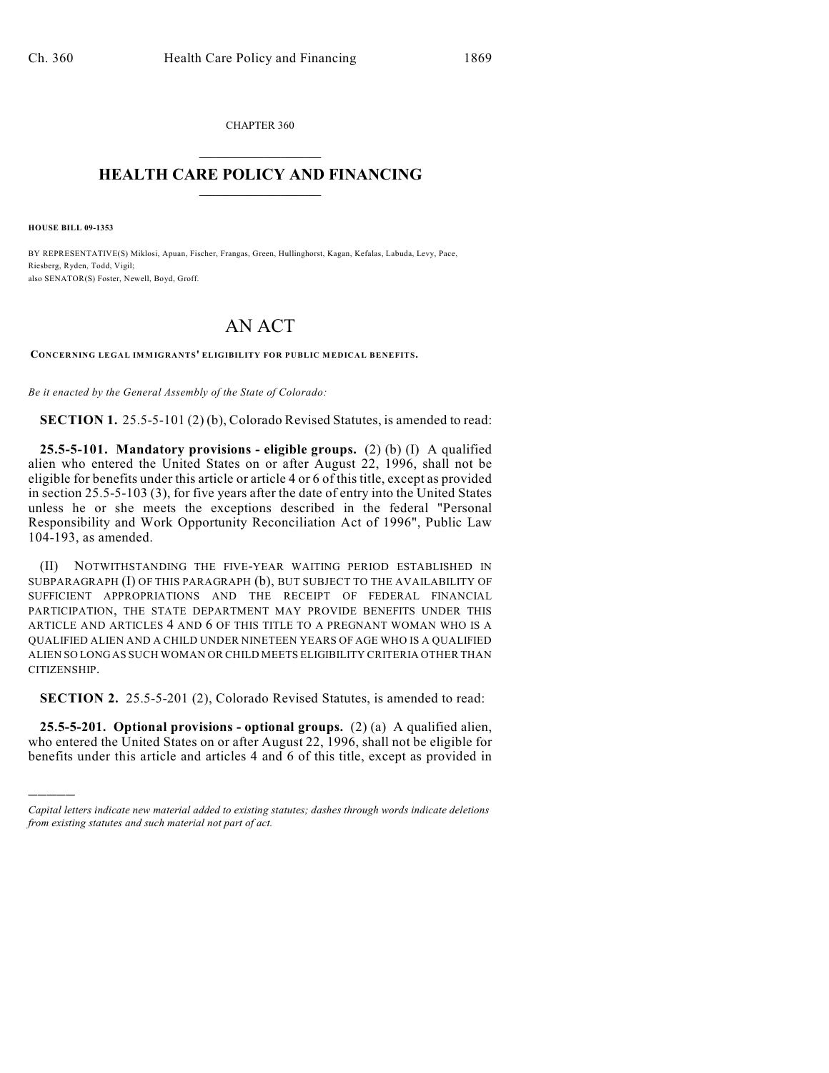CHAPTER 360  $\overline{\phantom{a}}$  . The set of the set of the set of the set of the set of the set of the set of the set of the set of the set of the set of the set of the set of the set of the set of the set of the set of the set of the set o

## **HEALTH CARE POLICY AND FINANCING**  $\_$   $\_$   $\_$   $\_$   $\_$   $\_$   $\_$   $\_$

**HOUSE BILL 09-1353**

)))))

BY REPRESENTATIVE(S) Miklosi, Apuan, Fischer, Frangas, Green, Hullinghorst, Kagan, Kefalas, Labuda, Levy, Pace, Riesberg, Ryden, Todd, Vigil; also SENATOR(S) Foster, Newell, Boyd, Groff.

## AN ACT

**CONCERNING LEGAL IMMIGRANTS' ELIGIBILITY FOR PUBLIC MEDICAL BENEFITS.**

*Be it enacted by the General Assembly of the State of Colorado:*

**SECTION 1.** 25.5-5-101 (2) (b), Colorado Revised Statutes, is amended to read:

**25.5-5-101. Mandatory provisions - eligible groups.** (2) (b) (I) A qualified alien who entered the United States on or after August 22, 1996, shall not be eligible for benefits under this article or article 4 or 6 of this title, except as provided in section 25.5-5-103 (3), for five years after the date of entry into the United States unless he or she meets the exceptions described in the federal "Personal Responsibility and Work Opportunity Reconciliation Act of 1996", Public Law 104-193, as amended.

(II) NOTWITHSTANDING THE FIVE-YEAR WAITING PERIOD ESTABLISHED IN SUBPARAGRAPH (I) OF THIS PARAGRAPH (b), BUT SUBJECT TO THE AVAILABILITY OF SUFFICIENT APPROPRIATIONS AND THE RECEIPT OF FEDERAL FINANCIAL PARTICIPATION, THE STATE DEPARTMENT MAY PROVIDE BENEFITS UNDER THIS ARTICLE AND ARTICLES 4 AND 6 OF THIS TITLE TO A PREGNANT WOMAN WHO IS A QUALIFIED ALIEN AND A CHILD UNDER NINETEEN YEARS OF AGE WHO IS A QUALIFIED ALIEN SO LONG AS SUCH WOMAN OR CHILD MEETS ELIGIBILITY CRITERIA OTHER THAN CITIZENSHIP.

**SECTION 2.** 25.5-5-201 (2), Colorado Revised Statutes, is amended to read:

**25.5-5-201. Optional provisions - optional groups.** (2) (a) A qualified alien, who entered the United States on or after August 22, 1996, shall not be eligible for benefits under this article and articles 4 and 6 of this title, except as provided in

*Capital letters indicate new material added to existing statutes; dashes through words indicate deletions from existing statutes and such material not part of act.*